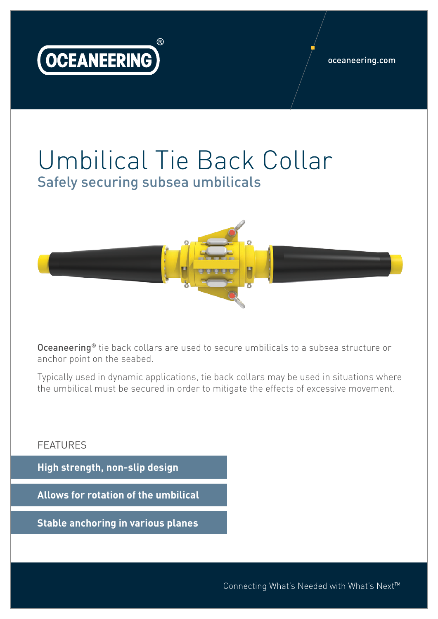

## Umbilical Tie Back Collar Safely securing subsea umbilicals



**Oceaneering®** tie back collars are used to secure umbilicals to a subsea structure or anchor point on the seabed.

Typically used in dynamic applications, tie back collars may be used in situations where the umbilical must be secured in order to mitigate the effects of excessive movement.

## FEATURES

**High strength, non-slip design**

**Allows for rotation of the umbilical**

**Stable anchoring in various planes**

Connecting What's Needed with What's Next™